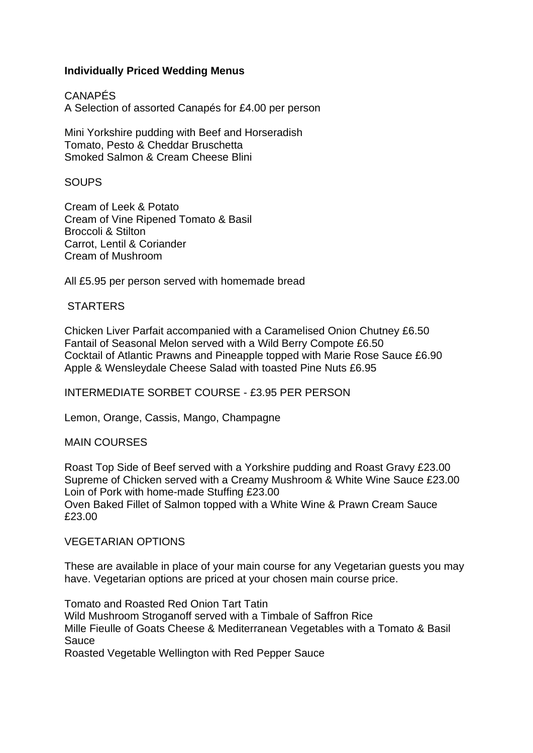# **Individually Priced Wedding Menus**

CANAPÉS A Selection of assorted Canapés for £4.00 per person

Mini Yorkshire pudding with Beef and Horseradish Tomato, Pesto & Cheddar Bruschetta Smoked Salmon & Cream Cheese Blini

## **SOUPS**

Cream of Leek & Potato Cream of Vine Ripened Tomato & Basil Broccoli & Stilton Carrot, Lentil & Coriander Cream of Mushroom

All £5.95 per person served with homemade bread

## **STARTERS**

Chicken Liver Parfait accompanied with a Caramelised Onion Chutney £6.50 Fantail of Seasonal Melon served with a Wild Berry Compote £6.50 Cocktail of Atlantic Prawns and Pineapple topped with Marie Rose Sauce £6.90 Apple & Wensleydale Cheese Salad with toasted Pine Nuts £6.95

INTERMEDIATE SORBET COURSE - £3.95 PER PERSON

Lemon, Orange, Cassis, Mango, Champagne

#### MAIN COURSES

Roast Top Side of Beef served with a Yorkshire pudding and Roast Gravy £23.00 Supreme of Chicken served with a Creamy Mushroom & White Wine Sauce £23.00 Loin of Pork with home-made Stuffing £23.00 Oven Baked Fillet of Salmon topped with a White Wine & Prawn Cream Sauce £23.00

#### VEGETARIAN OPTIONS

These are available in place of your main course for any Vegetarian guests you may have. Vegetarian options are priced at your chosen main course price.

Tomato and Roasted Red Onion Tart Tatin

Wild Mushroom Stroganoff served with a Timbale of Saffron Rice Mille Fieulle of Goats Cheese & Mediterranean Vegetables with a Tomato & Basil **Sauce** 

Roasted Vegetable Wellington with Red Pepper Sauce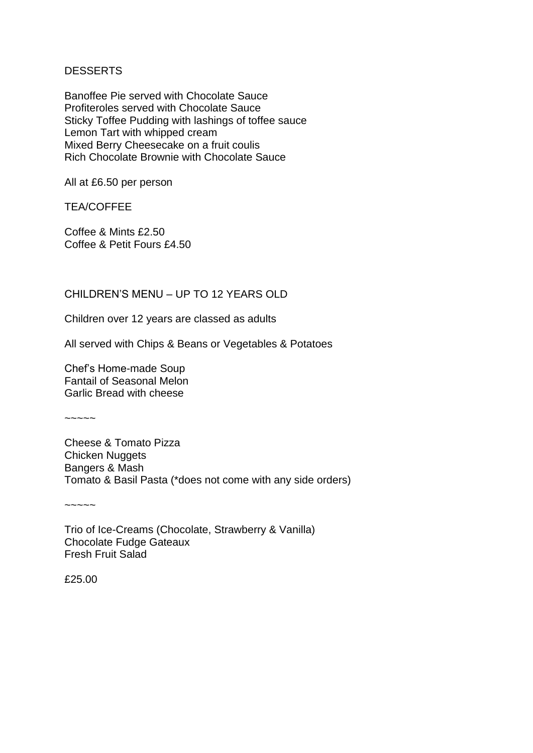## DESSERTS

Banoffee Pie served with Chocolate Sauce Profiteroles served with Chocolate Sauce Sticky Toffee Pudding with lashings of toffee sauce Lemon Tart with whipped cream Mixed Berry Cheesecake on a fruit coulis Rich Chocolate Brownie with Chocolate Sauce

All at £6.50 per person

TEA/COFFEE

Coffee & Mints £2.50 Coffee & Petit Fours £4.50

# CHILDREN'S MENU – UP TO 12 YEARS OLD

Children over 12 years are classed as adults

All served with Chips & Beans or Vegetables & Potatoes

Chef's Home-made Soup Fantail of Seasonal Melon Garlic Bread with cheese

 $\sim\sim\sim\sim\sim$ 

Cheese & Tomato Pizza Chicken Nuggets Bangers & Mash Tomato & Basil Pasta (\*does not come with any side orders)

 $\sim\sim\sim\sim\sim$ 

Trio of Ice-Creams (Chocolate, Strawberry & Vanilla) Chocolate Fudge Gateaux Fresh Fruit Salad

£25.00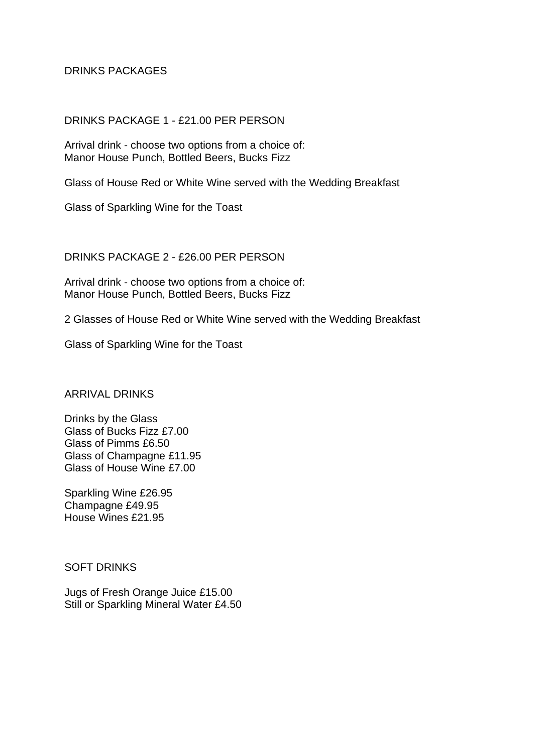# DRINKS PACKAGES

#### DRINKS PACKAGE 1 - £21.00 PER PERSON

Arrival drink - choose two options from a choice of: Manor House Punch, Bottled Beers, Bucks Fizz

Glass of House Red or White Wine served with the Wedding Breakfast

Glass of Sparkling Wine for the Toast

#### DRINKS PACKAGE 2 - £26.00 PER PERSON

Arrival drink - choose two options from a choice of: Manor House Punch, Bottled Beers, Bucks Fizz

2 Glasses of House Red or White Wine served with the Wedding Breakfast

Glass of Sparkling Wine for the Toast

ARRIVAL DRINKS

Drinks by the Glass Glass of Bucks Fizz £7.00 Glass of Pimms £6.50 Glass of Champagne £11.95 Glass of House Wine £7.00

Sparkling Wine £26.95 Champagne £49.95 House Wines £21.95

SOFT DRINKS

Jugs of Fresh Orange Juice £15.00 Still or Sparkling Mineral Water £4.50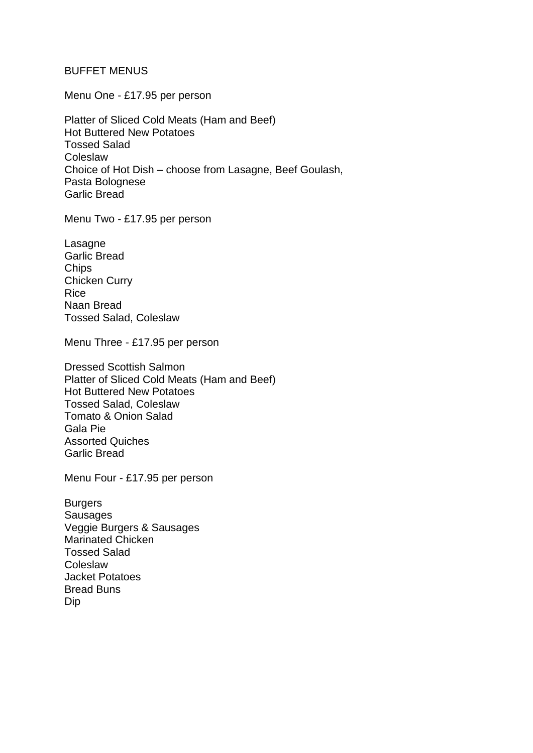### BUFFET MENUS

Menu One - £17.95 per person

Platter of Sliced Cold Meats (Ham and Beef) Hot Buttered New Potatoes Tossed Salad **Coleslaw** Choice of Hot Dish – choose from Lasagne, Beef Goulash, Pasta Bolognese Garlic Bread

Menu Two - £17.95 per person

Lasagne Garlic Bread **Chips** Chicken Curry Rice Naan Bread Tossed Salad, Coleslaw

Menu Three - £17.95 per person

Dressed Scottish Salmon Platter of Sliced Cold Meats (Ham and Beef) Hot Buttered New Potatoes Tossed Salad, Coleslaw Tomato & Onion Salad Gala Pie Assorted Quiches Garlic Bread

Menu Four - £17.95 per person

Burgers **Sausages** Veggie Burgers & Sausages Marinated Chicken Tossed Salad **Coleslaw** Jacket Potatoes Bread Buns Dip